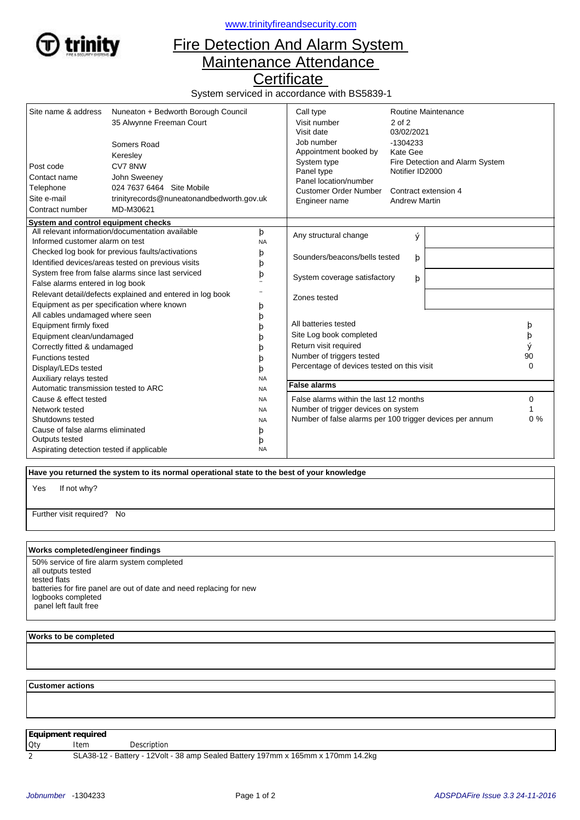

<www.trinityfireandsecurity.com>

## Fire Detection And Alarm System Maintenance Attendance

**Certificate** 

System serviced in accordance with BS5839-1

| Site name & address                                                                                                                                                      | Nuneaton + Bedworth Borough Council<br>35 Alwynne Freeman Court<br>Somers Road<br>Keresley                    |                  | Call type<br>Visit number<br>Visit date<br>Job number<br>Appointment booked by                                                                      | Routine Maintenance<br>$2$ of $2$<br>03/02/2021<br>$-1304233$<br>Kate Gee                          |  |                                   |  |
|--------------------------------------------------------------------------------------------------------------------------------------------------------------------------|---------------------------------------------------------------------------------------------------------------|------------------|-----------------------------------------------------------------------------------------------------------------------------------------------------|----------------------------------------------------------------------------------------------------|--|-----------------------------------|--|
| Post code<br>Contact name<br>Telephone<br>Site e-mail<br>Contract number                                                                                                 | CV78NW<br>John Sweeney<br>024 7637 6464 Site Mobile<br>trinityrecords@nuneatonandbedworth.gov.uk<br>MD-M30621 |                  | System type<br>Panel type<br>Panel location/number<br><b>Customer Order Number</b><br>Engineer name                                                 | Fire Detection and Alarm System<br>Notifier ID2000<br>Contract extension 4<br><b>Andrew Martin</b> |  |                                   |  |
| System and control equipment checks                                                                                                                                      |                                                                                                               |                  |                                                                                                                                                     |                                                                                                    |  |                                   |  |
| Informed customer alarm on test                                                                                                                                          | All relevant information/documentation available                                                              | þ<br><b>NA</b>   | Any structural change                                                                                                                               | Ý                                                                                                  |  |                                   |  |
| Checked log book for previous faults/activations<br>Identified devices/areas tested on previous visits                                                                   |                                                                                                               | þ<br>þ           | Sounders/beacons/bells tested<br>þ                                                                                                                  |                                                                                                    |  |                                   |  |
| System free from false alarms since last serviced<br>False alarms entered in log book                                                                                    |                                                                                                               | þ                | System coverage satisfactory<br>þ                                                                                                                   |                                                                                                    |  |                                   |  |
|                                                                                                                                                                          | Relevant detail/defects explained and entered in log book<br>Equipment as per specification where known       | þ                | Zones tested                                                                                                                                        |                                                                                                    |  |                                   |  |
| All cables undamaged where seen<br>Equipment firmly fixed<br>Equipment clean/undamaged<br>Correctly fitted & undamaged<br><b>Functions tested</b><br>Display/LEDs tested |                                                                                                               | þ<br>b<br>b<br>þ | All batteries tested<br>Site Log book completed<br>Return visit required<br>Number of triggers tested<br>Percentage of devices tested on this visit |                                                                                                    |  | þ<br>þ<br>ý<br>90<br>$\mathbf{0}$ |  |
| Auxiliary relays tested                                                                                                                                                  |                                                                                                               | <b>NA</b>        | <b>False alarms</b>                                                                                                                                 |                                                                                                    |  |                                   |  |
| Automatic transmission tested to ARC<br><b>NA</b>                                                                                                                        |                                                                                                               |                  |                                                                                                                                                     |                                                                                                    |  |                                   |  |
| Cause & effect tested                                                                                                                                                    |                                                                                                               | <b>NA</b>        | False alarms within the last 12 months                                                                                                              | 0                                                                                                  |  |                                   |  |
| Network tested<br><b>NA</b>                                                                                                                                              |                                                                                                               |                  | Number of trigger devices on system<br>Number of false alarms per 100 trigger devices per annum                                                     |                                                                                                    |  | $0\%$                             |  |
| Shutdowns tested<br><b>NA</b><br>Cause of false alarms eliminated                                                                                                        |                                                                                                               |                  |                                                                                                                                                     |                                                                                                    |  |                                   |  |
| Outputs tested                                                                                                                                                           |                                                                                                               | þ                |                                                                                                                                                     |                                                                                                    |  |                                   |  |
| Aspirating detection tested if applicable                                                                                                                                |                                                                                                               | þ<br><b>NA</b>   |                                                                                                                                                     |                                                                                                    |  |                                   |  |

 **Have you returned the system to its normal operational state to the best of your knowledge**

If not why? Yes

Further visit required? No

## **Works completed/engineer findings**

50% service of fire alarm system completed all outputs tested tested flats batteries for fire panel are out of date and need replacing for new logbooks completed panel left fault free

## **Works to be completed**

 **Customer actions**

**Equipment required**

Qty Item Description

2 SLA38-12 - Battery - 12Volt - 38 amp Sealed Battery 197mm x 165mm x 170mm 14.2kg